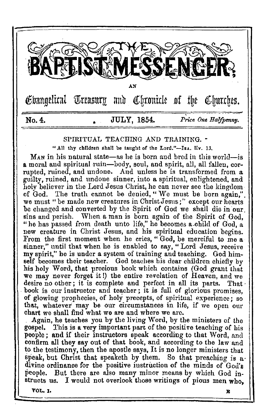

### SPIRITUAL TEACHING AND TRAINING.

"All thy children shall be taught of the Lord."-IsA. liv. 13.

M<sub>AN</sub> in his natural state—as he is born and bred in this world—is a moral and spiritual ruin-body, soul, and spirit, all, all fallen, corrupted, ruined, and undone. And unless he is transformed from a guilty, ruined, and undone sinner, into a spiritual, enlightened, and holy believer in the Lord Jesus Christ, he can never see the kingdom of God. The truth cannot be denied, " We must be born again,". we must "be made new creatures in Christ Jesus;" except our hearts be changed and converted by the Spirit of God we shall die in our. sins and perish. When a man is born again of the Spirit of God, "he has passed from death unto life," he becomes a.child of God, a new creature in Christ Jesus, and his spiritual education begins. From the first moment when he cries, " God, be merciful to me a sinner," until that when he is enabled to say," Lord Jesus, receive my spirit," be is under a system of training and teaching. God himself becomes their teacher. God teaches his dear children chiefly by his holy Word, that precious book which contains (God grant that we may never forget it!) the entire revelation of Heaven, and we desire no other; it is complete and perfect in all its parts. That book is our instructor and teacher; it is full of glorious promises, of glowing prophecies, of holy precepts, of spiritual experience; so that, whatever may be our circumstances in life, if we open our chart we shall find what we are and where we arc.

. Again, he teaches you by the living Word, by the ministers of the gospel. This is a very important part of the positive teaching of his people; and if their instructors speak according to that Word, and confirm all they say out of that book, and according to the law and to the testimony, then the apostle says, It is no longer ministers that speak, but Christ that speaketh by them. So that preaching is a. divine ordinance for the positive instruction of the minds of God's people. But there are also many minor means by which God instructs us. I would not overlook those writings of pious men who,

VOL. J. E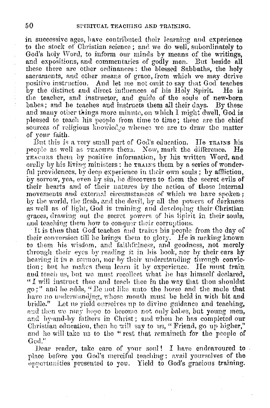in successive ages, have contributed their learning and experience to the stock of Christian science; and we do well, subordinately to God's holy Word, to inform our minds by means of the writings. and expositions, and commentaries of godly men. But beside all these there are other ordinances: the blessed Sabbaths, the holy sacraments, and other means of grace, from which we may derive positive instruction. And let me not omit to say that God teaches by the distinct and direct influences of his Holy Spirit. He is the teacher, and instructor, and guide of the souls of new-born babes; and he teaches and instructs them all their days. By these and many other things more minute, on which I might dwell. God is pleased to teach his people from time to time; these are the chief sources of religious knowledge whence we are to draw the matter of your faith.

But this is a very small part of God's education. He TRAINS his people as well as reaches them. Now, mark the difference. TEACHES them by positive information, by his written Word, and orally by his living ministers: he **TRAINS** them by a series of wonderful providences, by deep experience in their own souls; by affliction, by sorrow, yea, even by sin, he discovers to them the secret evils of their hearts and of their natures by the action of those internal movements and external circumstances of which we have spoken; by the world, the flesh, and the devil, by all the powers of derkness as well as of light, God is training and developing their Christian graces, drawing out the secret powers of his Spirit in their souls, and teaching them how to conquer their corruptions.

It is thus that God teaches and trains his people from the day of their conversion till he brings them to glory. He is making known to them his wisdom, and faithfulness, and goodness, not merely through their eyes by reading it in his book, nor by their cars by hearing it in a sermon, nor by their understanding through conviction; but he makes them learn it by experience. He must train and teach us, but we must recollect what he has himself declared. "I will instruct thee and teach thee in the way that thou shouldst go;" and he adds, " Be not like unto the horse and the mule that have no understanding, whose mouth must be held in with bit and bridle." Let us yield ourselves up to divine guidance and teaching, and then we may hope to become not only babes, but young men, and by-and-by fathers in Christ; and when he has completed our Christian education, then he will say to us, "Friend, go up higher," and he will take us to the "rest that remaineth for the people of God."

Dear reader, take care of your soul! I have endeavoured to. place before you God's merciful teaching: avail yourselves of the opportunities presented to you. Yield to God's gracious training.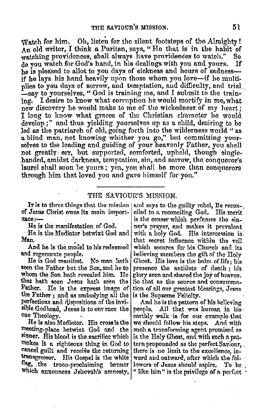Watch for him. Oh, listen for the silent footsteps of the Almighty! An old writer, I think a Puritan, says, "Ho that is in the habit of watching providences, shall always have providences to watch." So do you watch for Gocl's hand, in his dealings with you and yours. If he is pleased to allot to you days of sickness and hours of sadnessif he lays his hand heavily upon those whom you love-if he multi-plies to you days of sorrow, and temptation, and difficulty, and trial pleast to yourselves, "God is training me, and I submit to the train-<br>ing. I desire to know what corruption he would mortify in me, what new discovery he would make to me of the wickedness of my heart ; I long to know what graces of the Christian character he would develop ;" and thus yielding yourselves up as a child, desiring to be<br>led as the patriarch of old, going forth into the wilderness world "as led as the patriarch of old, going forth into the wilderness world " as a blind man, not knowing whither you go," but committing yourselves to the leading and guiding of your heavenly Father, you shall not greatly err, but supported, comforted, upheld, though singlehanded, amidst darkness, temptation, sin, and sorrow, the conqueror's laurel shall soon be yours; yen, you shall be more than conquerors through him that loved you and gavo himself for you."

THE SAVIOUR'S MISSION.

of Jesus Christ owes its mnin importance:-

He is the manifestation of God.

, He is the Mediator betwixt God and Man.

And he is the model to his redeemed and regenerate people.

He is God manifest. No man linth seen the Father but the Son, and he to whom the Son hath revenled him. He that hath seen Jesus hath seen the<br>Father. He is the express image of He is the express image of the Father; and as embodying all the perfections and dispositions of the invisible Godhead, Jesus is to our race the one Theology. .

He is also Medintor. His cross is the meeting-place betwixt God and the sinner. His blood is the sacrifice which makes it a righteous thing in God to cancel guilt and receive the returning transgressor. His Gospel is the white which announces Jehovah's amnesty, "like him" is the privilege of a perfect

It is to three things that the mission | and says to the guilty rebel, Be recon-. ciled to a reconciling God. His merit is the censer which perfumes the sinner's prayer, and makes it prevalent with a holy. God. His intercession is. that secret influence within the veil which secures for his Church and its helieving members the gift of the Holy Ghost. His love is the balm of life; liis presence the antidote of death; his glory seen and shared the joy of heaven. So that as the source and consummation of all our grentest blessings, Jesus is the Supreme Felicity.

transgressor. His Gospel is the white ward and outward, after which the fol-<br>flag, ,the truce-proclaiming banner lowers of Jesus should aspire, To be And he is the pattern of his helicying. people. All that was human in his. enrthly walk is for our example that we should follow his steps. And with such a transforming agent promised as: is the Holy Ghost, nnd with sneh n pnttern propounded as the perfect Saviour. there is no limit to the excellence, in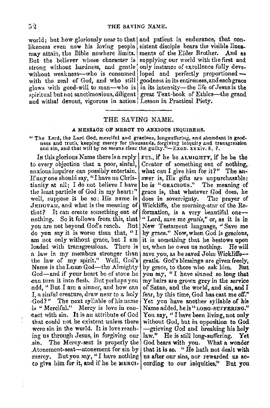world; but how gloriously near to that and patient in endurance, that con-<br>likeness even now his loving people sistent disciple bears the visible lineslikeness even now his loving people sistent disciple bears the visible lines-<br>niev attain, the Bible nowhere limits, ments of the Elder Brother. And as may attain, the Bible nowhere limits.<br>But the believer whose character is strong without hardness, and gentle only instance of excellence fully deve-<br>without weakness—who is consumed loped and perfectly proportioned without weakness—who is consumed loped and perfectly proportioned—with the zeal of God, and who still goodness in its entireness, and each grace with the zeal of God, and who still! glows with good-will to man-who is l in its intensity-the life of Jesus is the  $s$ piritual but not sanctimonious, diligent great Text-book of Ethics-the grand and withal devout, vigorous in action Lesson in Practical Piety.

supplying our world with the first and<br>only instance of excellence fully deve-

### THE SAVING NAME.

### A MESSAGE OF MERCY TO ANXIOUS INQUIRERS.

"The Lord, the Lord God, merciful and gracious, longsuffering, and abundant in goodness and truth, keeping mercy for thousands, forgiving iniquity and transgression and sin, and that will by no means clear the guilty." $-$ Exon. xxxiv. 6. 7.

to every objection that a poor, sinful, Creator of something out of nothing, anxious inquirer can possibly entertain. what can I give him for it?" The an-If any one should say, "I have no Chris- swer is, His gifts are unpurchasable;<br>tianity at all; I do not believe I have the is "GRACIOUS." The meaning of tianity at all; I do not believe I have the least particle of God in my heart:" well, suppose it be so; His name is does in sovereignty. The prayer of JEHOVAH, and what is the meaning of Wickliffe, the morning-star of the Re-<br>that? It can create something out of formation, is a very beautiful one--that? It can create something out of nothing. So it follows from this, that you are not beyond God's reach. But New Testament language, "Save me do you say it is worse than that, "I by grace." Now, when God is gracious. am not only without grace, but I am loaded with transgressions. There is a law in my members stronger than save you, as he saved John Wickliffe-the law of my spirit." Well, God's gratis. God's blessings are given freely, Name is the Lonn God-the Almighty by grace, to those who ask  $\lim$ . But  $God$ —and if your heart be of stone he you say, "I have sinned so long that can turn it into flesh. But perhaps you my hairs are grown grev in the service can turn it into flesh. But perhaps you add, "But I am a sinner, and how can of Satan, and the world, and sin, and I I, a sinful creature, draw near to a holy fear, by this time, God has cast me off." ,God?" The next syllable ofhisname Yet you have another syllable of his ds "Merciful." Mercy is love in con- Name added, he is "LONG-SUFFERING." •tact with sin. It is an attribute of God Yon say, " I have been living, not only that could not be existent unless there without God, but in opposition to God were sin in the world. It is love reach- $\frac{1}{2}$  -grieving God and breaking his holy ing us through Jesus, in forgiving our law." He is still long-suffering. Yet sin. The Mercy-seat is properly the God bears with you. What a wonder Atonement-seat-atonement for  $\sin by$  that it is so. "He hath not dealt with mercy. But you say, "I have nothing  $\vert$  as after our sins, nor rewarded us acto give him for it, and if he be MERCI- cording to our iniquities." But you

In this glorious Name there is a reply  $\vert$  FUL, if he be ALMIGHTY, if he be the grace is, that whatever God does, he nothing. So it is in the *gratis*," or, as it is in Sut New Testament language. "Save me by grace." Now, when God is gracious, it is something that he bestows upon us, when he owes us nothing. He will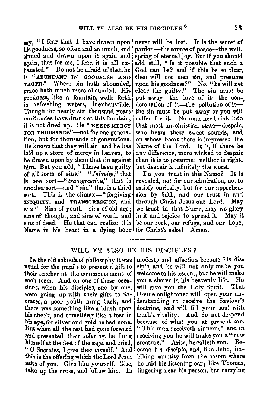say, "I fear that I have drawn upon his goodness, so often and so much, and sinned and drawn upon it again and again, that for me, I fear, it is all exhausted." Do not be afraid of that, be is "ABUNDANT JN GOODNESS .AND TRUTH." Where sin bath abounded, grace bath much more abounded. His goodness, like a fountain, wells forth in refreshing waters, inexhaustible. Though for nearly six thousand years multitudes have drunk at this fountain, it is not dried up. He " KEEPS MERCY FOR THOUSANDS"-not for one generation, bnt for thousands of generations. lie knows that they **will** sin, and he has laid up a store of mercy in heaven, to be drawn upon by them that sin against him. But you add, "I have been guilty of all sorts of sins." "Iniquity," that is one sort-" *transgression*," that is another sort-and *"\$in,"* that is **a** third sort. This is the climax—" forgiving INIQUITY, and TRANSGRESSION, and **giv."** Sins of youth-sins of old age; sins of thought, and sins of word, and sins of deed. He that can realize this Name in his heart in a dying hour for Christ's sake! Amen.

never will be lost. It is the secret **or**  pardon-the source of peace-the wellspring of eternal joy. But if you should add still, " Is it possible that such a God can be? and if this be so clear, then will not men sin, and presume upon his goodness?" No, "he will not clear the guilty." The sin must be put away-the love of it-the condemnation of it-the pollution of it---' the sin must be put **a.way** or you **will**  suffer for it. No man need sink into that most un-christian state-despair, who hears these sweet sounds, and on whose heart there is impressed the Name of the Lord. It is, if there be any difference, more wicked to despair than it is to presume; neither is right, but despair is infinitely the worst.

Do you trust in this Name? It is revealed, not for our admiration, not to satisfy curiosity, but for our apprehension by faith, and our trust in and through Christ Jesus our Lord. May we trust in that Name, may we glory in it and rejoice to spread it. May it be our rock, our refuge, and our hope,

## WILL YE ALSO BE HIS DISCIPLES?

usual for the pupils to present a gift to ciple, and he will not only make you their teacher at the commencement of welcome to his lessons, but he will make each term. And on one of these occa- you a sharer in his heavenly life. He sions, when his disciples, one by one, will give you the Holy Spirit. That were going up with their gifts to So- Divine enlightener will open your uncrates, a poor youth hung back, and derstanding to receive the Saviour's there was something like a blush upon doctrine, and will fill your soul with his cheek, and something like a tear in truth's vitality. And do not despond his eye, for silver and gold he had none. because of what you at present are. But when all the rest had gone forward "This man receiveth sinners;" and in and presented their offering, he flung receiving you he will make you a "new himself at the feet of the sage, and cried, crenture." Arise, he calleth you. Beu O Socrates, I give thee myself." And come his disciple, and, like John, imthis is the offering which the Lord Jesus bibing sanctity from the bosom where asks of you. Give him yourself. Rise, he laid his listening ear; like Thomas,

In the old schools of philosophy it was modesty and affection become his distake up the cross, and follow him. In lingering near his person, but carrying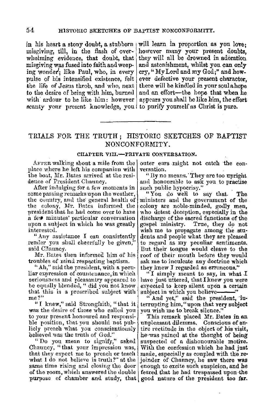misgiving was fused into faith and weep- and astonishment, whilst you can only ing wonder. like Paul, who, in every  $\vert$  cry, "My Lord and my God;" and howpulse of his intensified existence, felt scanty your present knowledge, you to purify yourself as Christ is pure.

in his heart a stony doubt, a stabborn  $\vert$  will learn in proportion as you love; misgiving, till, in the flash of over- however many your present doubts. misgiving, till, in the flash of over- however many your present doubts, whelming evidence, that doubt, that they will all be drowned in adoration ing wonder'; like Paul, who, in every  $\vert cy,$  "My Lord and my God;" and how-<br>pulse of his intensified existence, felt ever defective your present character, the life of Jesus throb, and who, next there will be kindled in your soulahope<br>to the desire of being with him, burned and an effort—the hope that when he to the desire of being with him, burned and an effort—the hope that when he with ardour to be like him, the effort appears you shall be like him, the effort

# TRIALS FOR THE TRUTH; HISTORIC SKETCHES OF BAPTIST NONCONFORMITY.

### CHAPTER VIII.-PRIVATE CONVERSATION.

AFTER walking about a mile from the place where he left his companion with the boat. Mr. Bates arrived at the residence of President Chauncy.

After indulging for a few moments in some passing remarks upon the weather, the country, and the' geneml health of the colony, Mr. Bates informed the president that he had come over to have a few minutes' particular conversation upon a subject in which he was greatly interested.

"Any assistance I can consistently render you shall cheerfully be given, said Chauncy.

Mr. Bates then informed him of his troubles of mind respecting baptism.

"Ah," said the president, with a peculiar expression of countenance,in which seriousness and pleasantry appeared to be equally blended, " did you not know that this is a proscribed subject with me?"

"I knew," said Strongfaith, "that it was the desire of those who called you to your present honoured and responsi· ble position, that you should not publicly preach what you conscientiously believerl was the truth of God."

"Do you mean to signify," asked Chauncy, "that your impression was, that they expect me to preach or teach  $\frac{1}{2}$ what I do not believe is truth?" at the same time rising aml closing the door of the room, which answered the double purpose of chamber and study, that good nature of the president too far.

outer ears might not catch the conversation.

"Ily no means.· They are too upright aml honourable to ask you to practise such public hypocrisy."

" You do weH to say that. The ministers aml the government of the colony are noble-mindeil, godly men, who detest deception, especially in the discharge of the sacred functions of the gospel ministry. True, they do not wish me to propagate among the stu• dents and people what they are pleased to regard as my peculiar sentiments. llut their tongue would cleave to the roof of their mouth before they would ask me to inculcate any doctrine which they knew I regarded as erroneous."

 $"I$  simply meant to say, in what  $I$ have just uttered, that I knew you were expected to keep silent upon a certain subject in which you believe----

" And yet," said the president, 'interrupting him, "upon that very subject you wish me to break silence."

This remark placed Mr. Bates in an unpleasant dilemma. Conscious of entire rectitude in the object of his visit, he·was pained at the thought of being suspected of a dishonourable motive. With the confession which he had just made, especially as coupled with the re• joinder of Channey, he saw there **was**  enough to excite such suspicion, and he feared that he had trespassed upon the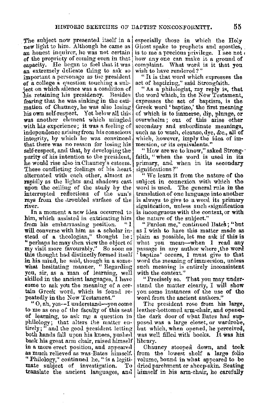The subject now presented itself in a new light to him. Although he came as an honest inquirer, he was not certain of the propriety of coming even in that<br>capacity. He began to feel that it was an extremely delicate thing to ask so important a personage as the president of a college a question touching a snbject on which silence was a condition of his retaining his presidency. Besides fearing that he was sinking in the esti· mation of Channey, he was also losing his own self-respect. Yet below all this was another element which mingled with his experience; it was a feeling of independence arising from his conscious integrity, by which he was convinced that there was no reason for losing his self-respect, and that, by developing the purity of his intention to the president,  $\vert$ he would rise also inChauncy's esteem. These conflicting feelings of his heart alternated with each other, almost as rapidly as the lights and shadows cast upon the ceiling of the study by the interrupted reflections of the sun's rays from the troubled surface of the river.

In a moment a new idea occurred to him, which assisted in extricating him<br>from his emberrassing position. from his embarrassing position. will converse with him as a scholar instead of a theologian," thought he; "perhaps he may then view the object of my visit more favourably." So soon as this thought had distinctly formed itself in his mind, he said, though in a somewhat hesitating manner, "Regarding you, sir, as a man of learning, well skilled in the ancient languages, I have come to ask you the meaning of a certain Greek word, which is found re- peatedly in the New Testament."

"O, ah, yes--I understand-you come to me as one of the faculty of this seat of learning, to ask me a question in philology; that alters the matter entirely; " and the good president letting both hands fall upon his knees, pushe<l back his great arm chair, raised himself in a more erect position, and appeared as much relieved as was-Bates himself. "Philology," continued he, "is a legitimate subject of investigation. To translate the ancient languages, and himself in his arm-chair, he carefully

especially those in which the Holy Ghost spake to prophets and apostles, , is to me a precious privilege. I see not  $\iota$  how any one can make it a ground of complaint. What word is it that you wish to have rendered ?"

"It is that word which expresses the act of baptizing," said Strongfaith.

" As a philologist, my reply is, that the word which, in the New Testament, expresses the act of baptism, is the Greek word 'baptizo,' the first meaning of which is to immerse, dip, plunge, or overwhelm ; out of this arise other secondary and subordinate meanings, such as to wash, cleanse, dye, &c., all of which, however, imply the idea of im• mersion, or its equivalents."

"How are we to know," asked Strong-· faith, "when the word is used in its primary, aml when in its secondary significations ?"

"We learn it from the nature of the subject in connexion with which the word is used. The general rule in the translation of one language into another is always to give to a word its primary signification, unless such «signification is incongruous with the context, or with the nature of the subject."

"Pardon me," continnell Dates; "but as I wish to have this matter made as plain as possible, let me ask if this is what you mean-when I read any passage in any author where.the word ' baptize' occurs, I must give to that word the meaning of immersion, unless such meaning is entirely inconsistent with the context."

"Precisely so. That you may under• staml the matter clearly, I will show you some instances of the use of the word from the ancient authors."

The president rose from his large, leather-bottomed arm-chair, and opened the dark door of what Bates had sup• posed was a large closet, or wardrobe, but which, when opened, he perceived, was well filleu with books. It **was his**  library.

Chauncy stooped down, and took from the lowest shelf a largo folio volume, bound in what appeared to be dried parchment or sheep-skin. Seating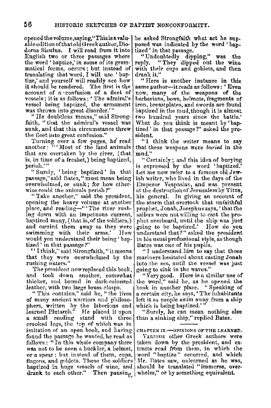opened the volume, saying, "This is a valu- | he asked Strongfaith what act he sup. able edition of that old Greek author, Diodorus Siculus. I will read from it into English two or three passages where the word' baptize,' in some of its grammatical forms, occurs ; but instead of translating that word, I will use 'baptize; and yourself will readily see how it should be rendered. The first is the account of a -confusion of a fleet of vessels; it is as follows: ' The admiral's vessel being baptized, the armament was thrown into great disorder.'"

"He doubtless means," said Strongfaith, "that the admiral's vessel was sunk, and that this circumstance threw the ,fleet into great confusion.''

Turning over a few pages, he read another: "'Most of the land animuls that are overtaken by the river, (that is, in time of a freshet,) being baptizetl, perish.'"

" Surely, 'being baptized' in that passage," said Bates," must mean being overwhelmed, or sunk; for how otherwise could the animals perish?"

"Take another," said the president, opening the heavy volume at another place, and reading-" 'The river rush-<br>ing down with an impetuous current, baptized many, (that is, of the soldiers,) and carried them away as they were<br>swimming with their arms.' How swimming with their arms.' would you understand their being 'baptized ' in that passage?"

"I think," said Strongfaith, "it means that they were overwhelmed by the rushing waters."

The president now replaced this book, and took down another, somewhat thicker, and bound in dark-coloured leather, with two large brass clasps.

" This contains," said he, "the lives of many ancient warriors and philosophers, written by the laborious and learned Plutarch." He placed it upon a small reading stand with three crooked legs, the top of which was in imitation of an open book, and having found the passage he wanted, he read as follows: "In this whole company there was not to be seen a buckler, a helmet, or a spear; but instead of them, cups, flagons, and goblets. These the soldiers baptized in huge vessels of wine, and drank to each other." Then pausing

posed was indicated by the word ' baptized' in that passage.

"Undoubtedly dipping," was the "They dipped out the wine with their cups and goblets, and then

drank it."<br>"Here is another instance in this same author-it reads as follows: ' Even now, many of the weapons **of** the harbarians, bows, helmets, fragments of iron, breastplates, and swords are found baptized in the mud, though it is almost two hundred years since the battle.' What do you think is meant by 'baptized ' in that passage?" asked the president.

"l think the writer means to . **say**  that these weapons were *buried* in the mud."

"Certainly; and this idea. of burying is expressed by the word 'haptized.' Let me now refer to a famous old Jewish writer, who lived in the days of the Emperor Vespasian, and was present at the destruction of Jerusalem by Titus, his general. In giving an account of the storm that overtook that unfaithful prophet, Jonah, Josephus says, 'that the sailors were not willing to cast the prophet overboard, until the ship was just<br>going to be baptized.' How do you going to be baptized.' understand that?" asked the president in his usual professional style, as though

Bates was one of his pupils.<br>•• I understand him to say that those mariners hesitated about casting Jonah into the sea, until the vessel was just going to sink in the waves.''

"Very good. Here is n similar use of the word," said he, as he opened the book in another place. " Speaking of a certain city, he says, 'The inhabitants left it as people swim away from a ship which is being baptized.'"

"Surely, he can mean nothing else than a sinking ship," replied Bates.

CHAPTER IX,-OPINIONS OF THE LEARNED.

VAnrous other Greek authors were taken down by the president, and ex-<br>tracts read from them, in which the word "bantize" occurred, and which Mr. Bates saw, unlearned as he was, should be translated "immerse, overwhelm," or by something equivalent.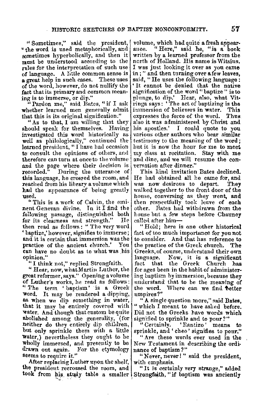" Sometimes," said the president, volume, which had quite a fresh appear-" the word is used metaphorically, and sometimes hyperbolically, and then it  $m$ ust be understood according to the rules for the interpretation of such use of language. A little common sense is **<sup>a</sup>**great help in such cases. These uses of the word, however, do not nullify the fact that its primary and common mean-<br>ing is to immerse, or dip."

"Pardon me," said Bates, " if I ask whether learned men generally admit that this is its original signification."

"As to that, I am willing that they should speak for themselves. Having<br>investigated this word historically as well as philologically," continued the learned president, "I have had occasion to consult the opinions of others, and therefore can turn at once to the volume and the page where their decision is recorded." During the utterance of this language, he crossed the room, and reached from his library a volume which had the appearance of being greatly use<l.

"This is a work of Calvin, the eminent Genevan divine. In it I find the following passage, distinguished both for its cleamess nnd strength." He then read as follows: "The very word 'baptize,' however, signifies to immerse; and it is certain that immersion was the practice of the ancient church.' You can have no doubt as to what was his **opinion."** 

"I think not," replied Strongfaith.

" Hear, now, what Martin Luther, the great reformer, says." Opening a volume of Luther's works, he read as follows: " The term ' baptism' is a Greek word. It may be rendered a dipping, as when we dip something in water, that it may be entirely covered with water. And though that custom be quite abolished among the generality, (for neither do they entirely dip children, but only sprinkle them with a little water,) nevertheless they ought to be wholly immersed, and presently to be drawn out again. For the etymology seems to require it."

After replacing Luther upon the shelf, the president recrossed the room, and took from his study table a smaller Strongfaith, "if baptism was anciently

ance. "Here," said he, "is a book written by a learned professor from the north of Holland. His name is Witsius.<br>I was just looking it over as you came in; " and then turning over a few leaves, said, "He uses the following language: ' It cannot be denied that the native signification of the word "baptize" is to plunge, to dip.' Hear, also, what Vitringa says: 'The act of baptizing is the<br>immersion of believers in water. This immersion of believers in water. This<br>expresses the force of the word. Thus. expresses the force of the word. also it was administered by Christ and his apostles.' I could quote to you various other authors who bear similar testimony to the meaning of the word; but it is now the hour for me to meet my class at recitation. Stay with me and dine, and we will resume the con-<br>versation after dinner."

'l'his kinil invitation Bates declined. He had obtained all he came for, and was now desirous to depart. They wnlked together to the front door of the house, conversing as they went, and then respectfully took leave of each other. Rates had withdrawn from the house but a few steps before Channey called after him-

" Hold; here is one other historical fact of too much importance for you not to consider. And that has reference to the practice of the Greek church. The Greeks, of course, understand their own language. Now, it is a significant<br>fact that the Greek Church bas the Greek Church has for ages been in the habit of administer• ing baptism hy immersion, because they umlerstand that to be the meaning of the word. Where can we find **better** umpires?"

" **A** single question more," sai<l **Bates,**  " which I meant to have asked before. Did not the Greel,s have words **which**  signified to sprinkle and to pour?"

"Certainly. • Rantizo' means to sprinkle, and' cheo' signifies to ponr."

" Are these words ever used in the New Testament in describing the ordi• nance of baptism?"

"Never, never! " said the president, with emphasis.

"It is certainly very strange," added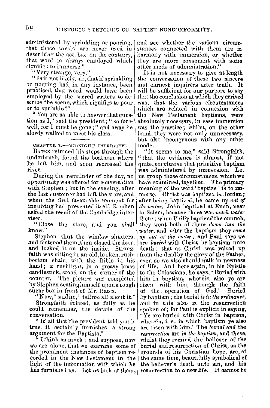administered by sprinkling or pouring, that those words are never used in describing the act, but, on the contrary, that word is always employed which signifies to immerse."

" Very strange, very."

"Is it not likely, sir, that if sprinkling or pouring had, in any instance, been practised, that word would have been employed by the sacred writers to describe the scene, which signifies to pour or to sprinkle?'

"You are as able to answer that question as I," said the president; " so farewell, for I must be gone;" and away he slowly walked to meet his class.

CHAPTER X.- MIDNIGHT INTERVIEW.

BATES retraced his steps through the underbrush, found the boatman where he left him, and soon recrossed the river.

During the remainder of the day, no opportunity was offered for conversation with Stephen; but in the evening, after the last customer had left the store, and when the first favourable moment for inquiring had presented itself, Stephen asked the result of the Cambridge interview.

"Close the store, and you shall know."

Stephen shut the window shutters, and fastened them, then closed the door, and locked it on the inside. Strongfaith was sitting in an old, broken, rushbottom chair, with the Bible in his hand; a rushlight, in a greasy brass candlestick, stood on the corner of the The picture was completed counter. by Stephen seating himself upon a rough sugar box in front of Mr. Bates.

"Now," said he," tell me all about it." Strongfaith related, as fully as he could remember, the details of the conversation.

"If all that the president told you is true, it certainly furnishes a strong argument for the Baptists."

"I think as much : and suppose, now we are alone, that we examine some of the prominent instances of baptism recorded in the New Testament in the light of the information with which he has furnished us. Let us look at them,

and see whether the various circumstances connected with them are in harmony with immersion, or whether they are more consonant with some other mode of administration."

It is not necessary to give at length the conversation of these two sincere and earnest inquirers after truth. It will be sufficient for our purpose to say that the conclusion at which they arrived was, that the various circumstances which are related in connexion with the New Testament baptisms, were absolutely necessary, in case immersion was the practice; whilst, on the other hand, they were not only unnecessary, but also incongruous with any other mode.

"It seems to me," said Strongfaith, "that the evidence is almost, if not quite, conclusive that primitive baptism was administered by immersion. Let us group these circumstances, which we have examined, together. The primary meaning of the word 'baptize' is to immerse. Christ was baptized in Jordan; after being baptized, he came up out of the water; John baptized at Enon, near to Salem, because there was much water there; when Philip baptized the eunuch, they went both of them down into the water, and after the baptism they came up out of the water; and Paul says we are buried with Christ by baptism unto death; that as Christ was raised up from the dead by the glory of the Father, even so we also should walk in newness of life. And here again, in his Epistle to the Colossians, he says, ' Duried with him in baptism, wherein also ye are risen with him, through the faith of the operation of God.' **Buried** by hantism; the burial is in the ordinance, and in this also is the resurrection spoken of; for Paul is explicit in saying, 'Ye are buried with Christ in baptism, wherein, i. e., in which baptism ye also are risen with him.' The burial and the resurrection are in the baptism, and these, whilst they remind the believer of the burial and resurrection of Christ, as the grounds of his Christian hope, are, at the same time, beautifully symbolical of the believer's death unto sin, and his resurrection to a new life. It cannot be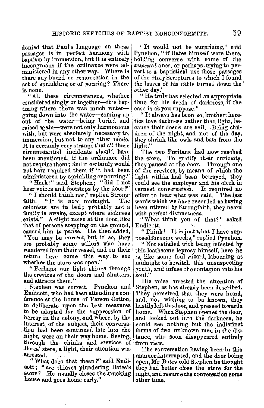denied that Paul's language on these passages is in perfect harmony with baptism by immersion, but it is entirely incongruous **if** the ordinance were au• ministered in any other way. Where is there any burial or resurrection in the act of sprinkling or of pouring? There is none.

"All these circumstances, whether considered singly or together-this baptizing where there was much watergoing down into the water-coming up out of the water-being buried and raised again-were not only harmonious with, but were absolutely necessary to, immersion, but not to any other mode. It is certainly very strange that all these circumstantial incidents should have been mentioned, if the ordinance did not require them; and it certainly would not have required them if it had been administered by sprinkling or pouring."

" Hark!" said Stephen; " did I not hear voices and footsteps by the door?"

" I should think not," replied Strong-<br>faith. " It is now midnight. The "It is now midnight. colonists are in bed; probably not a family is awake, except where sickness exists." A slight noise at the door, like that of persons stepping on the ground, caused him to pause. He then added, "You may be correct, but if so, they are probably some sailors who have wandered from their vessel, and on their return have come this way to see whether the store was open."

" Perhaps our light shines through the crevices of the doors and shutters, and attracts them."

Stephen was correct. Pynchon and Endicott, who had been attending a conference at the house of Parson Cotton. to deliberate upon the best measures to be adopted for the suppression of heresy in the colony, and where, by the<br>interest of the subject, their conversation had been continued late into the .night, were on their way home. Seeing, . through the chinks and crevices of Bates' store, a light, their attention was

" What does that mean?" said Endi-• oott; " are thieves plundering Eates's store? He usually closes the trucking house and goes home early."

"It would not be surprising," said Pynchon, "if Bates himself were there, holding converse with some of the suspected ones, or perhaps, trying to pervert to a baptistical use those passages of the Holy Scriptures to which I found the leaves of his Bible turned down the  $\cdot$  other day."

"He truly lias selected an appropriate time for his deeds of darkness, if the case is as you suppose."

" It always has been so, brother; here• tics love darkness rather than light, be• cause their deeds are evil. Being chil• dren of the night, and not of the day, they shrink like owls and bats from the light."

The two Puritans had now reached the store. To gratify their curiosity, they paused at the door. Through one of the crevices, by means of which the light within had been betrayed, they could see the employer and his clerk in earnest conversation. It required no effort to hear what was said. The last words which we have recorded as having been uttered by Strongfaith, they heard with perfect distinctness.

"What think you of that?" asked

Endicott.<br>"Think! It is just what I have supposed for some weeks," replied Pynchon.

" Not satisfied with being infected **by**  this loathsome leprosy 11imself, here **he**  is, like some foul wizard, labouring at midnight to bewitch this unsuspecting youth, and infuse the contagion into his  $\boldsymbol{\check{\mathsf{s}}}$ oul.''

His voice arrested the attention **of**  Stephen, as has already been described. They perceived that they were heard, and, not wishing to be known, they hastily left the.door, and pressed **towards**  home. When Stephen opened the door, and looked out into the darkness, he could see nothing but the indistinct forms of two unknown men in the dis• tance, who soon disappeared entirely from view.

The conversation having been,in this manner interrupted, and the door being open, Mr. Bates told Stephen he thought they had better close the store for the night, and resume the conversation some other time.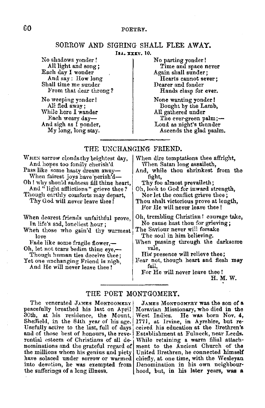# 60 POETRY.

# SORROW AND SIGHING SHALL FLEE AWAY.

Ju.. **XXXV.** 10.

No shadows yonder! All light and song; Each day I wonder And say : How long Shall time me sunder From that dear throng?

No weeping yonder! All fled away; While here I wander Each weary day-And sigh as I ponder, My long, long stay. No parting yonder ! Time and space never Again shall sunder; Hearts cannot **sever;**  Dearer and fonder Hands clasp for **ever.** 

None wanting yonder! Bought by the Lamb, All gathered under The ever-green palm;-Loud as night's thunder Ascends the glad psalm.

# THE UNCHANGING FRIEND.

- WHEN SOITOW clouds thy brightest day, And hopes too fondly cherish'd Pass like some hasty dream away-When fairest joys have perish'd-Oh ! why should sadness fill thine heart, And " light afflictions" grieve thee? Though earthly comforts may depart, Thy God will never leave thee!
- When dearest friends unfaithful prove, In life's sad, loneliest hour;
- When those who gain'd thy warmest love
- Fade like some fragile flower,-
- Oh, let not tears bedim thine  $e$ ye, $-$ Though hnman ties deceive thee;
- Yet one unchanging Friend is nigh, And He will never leave thee !

When dire temptations thee affright, When Satan long assaileth,

And, while thou shrinkest from the fight,

Thy foe almost prevaileth;

Oh, look to God for inward strength, Nor let the conflict grieve thee;

Thou shalt victorious prove at length, For He will never leave thee !

Oh, trembling Christian! courage take, No cause hast thou for grieving;

The Saviour never will forsake The soul in him believing.

- When passing through the darksome vale,
- His presence will relieve thee:
- Fear not, though heart and flesh **may**  fail,

For He will never leave thee ! H.M.W.

# THE POET MONTGOMERY.

The venerated JAMES MONTGOMERY peacefully breathed his last on April 30th, at his residence, the Mount, Sheffield, in the 84th year of his age. Usefully aclive to the last, full of days and of those best of honours, the reverential esteem of Christians of all denominations and the grateful regard of the millions whom his genius and piety have solaced under sorrow or warmed the sufferings of a long illness.

into devotion, he was exempted from Denomination in his own neighbour• JAMES MONTGOMERY was the son of a Moravian Missionary, who died in the West Indies. He was born Nov. 4, He was born Nov. 4, 1771, at Irvine, in Ayrshire, but re-<br>ceived his education at the Brethren's Establishment at Fnlneck, near Leeds, While retaining a warm filial attachment to the Ancient Church of the United Brethren, he connected himself chiefly, at one time, with the Wesleyan hood, but, in his later years, **was a**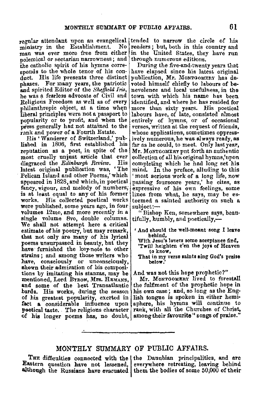regular attendant upon an evangelical tended to narrow the circle of his ministry in the Establishment. No man was ever more free from either polemical or sectarian narrowness; and<br>the catholic spirit of his hymns corresponds to the whole tenor of his con-<br>duct. His life presents three distinct phases. For many years, the patriotic and spirited Editor of the *Sheffield Iris*, he was a fearless advocate of Civil and Religious Freedom as well as of every philanthropic object, at a time when liberal principles were not a passport to popularity or to profit, and when the press generally had not attained to the rank and power of a Fourth Estate.

His 'Wanderer of Switzerland," published in 1806, first established his reputation us a poet, in spite of the most cruelly unjust article that ever<br>discraced the Edinburgh Review. His disgraced the *Edinburgh Review*. latest original publication was, 'The Pelican Island and other Poems,' which appeared in 1828, and which, in poetical fancy, vigour, and melody of numbers; is at least equal to any of his former<br>works. His collected noetical works were published, some years ago, in four volumes 12mo, and more recently jn a single volume Bvo, double columns. We shall not attempt here a critical estimate of his poetry, but may remark, that not only are many of his lyrical poems unsurpassed in beauty, but they have furnished the key-note to other strains ; and among those writers who have, consciously or unconsciously, ehown their admiration of his compositions by imitating his stanzas, may be mentioned, Lord BYRON, Mrs. HEMANS, and some of the best Transatlantic<br>bards. His works, during the season of his greatest popularity, exerted in fact a considerable influence upon poetical taste. The religious character of his longer poems has, no doubt, among their favourite "songs of praise."

readers ; but, both in this country and in the United States, they have run through numerous editions.

During the five-and-twenty years that have elapsed since his latest original publication, **Mr.** MoNTGOMERY has devoted himself chiefly to labours of benevolence and local usefulness, in the town with which his name has been<br>identified, and where he has resided for more than sixty years. His poetical labours have, of late, consisted almost entirely of hymns, or of occasional verses, written at the request of friends, whose applications, sometimes oppress• ively numerous,he was always ready, as far as he could, to meet. Only last **year,**  Mr. MoNTGOMERYput forth an authentic collection of all his original hymns,'upon completing which he had long set his mind. In the preface, alluding to this<br>'most serious work of a long life, now passing fourscore years,' he cites, as expressive of his own feelings, some lines from what, he says, may be es-<br>teemed a sainted authority on such a suhject:--

" Bishop Ken, somewhere says, beau• tifully, humbly, and poetically,-

- And should the well-meant song I leave behind, With Jesu's lovets some aeeeptance find,
	-
	- 'Twill heighten e'en the joys of Heaven to know,
	- That in my verse saints **sing** God's praise below.'

And was not this hope prophetic?"

Mr. MONTGOHERY lived to forestall the fulfiment of the prophetic hope in his own case; and, so long as the English tongue is spoken in either hemisphere, his hymns will continue to rank, with all the Churches of Christ,

# MONTHLY SUMMARY OF PUBLIC AFFAIRS.

THE difficulties connected with the  $|$  the Danubian principalities, and are Eastern question have not lessened, everywhere retreating, leaving behind

although the Russians have evacuated them the bodies of some 50,000 of their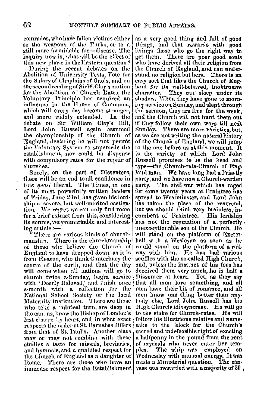comrades, who have fallen victims either to the weapons of the Turks, or to a still more formidable foe-disease. The inquiry now is, what will be the effect of this new phase in the Eastern question?

During the recent debates on the Abolition of University Tests, Vote for the Salary of Chaplains of Gaols, and on the second reading of SirW.Clay's motion for the Abolition of Church Rates, the Voluntary Principle has acquired an influence in the House of Commons, which will every day become stronger, and more widely extended. In the debate on Sir William Clay's Bill. Lord John Russell again assumed the championship of the Church of England, declaring he will not permit the Voluntary System to supersede the establishment, nor could he dispense with compulsory rates for the repair of churches.

Surely, on the part of Dissenters, there will be an end to all confidence in tais *quasi* liberal. The Times, in one of its most powerfully written leaders of Friday, June 23rd, has given his lordship a severe, but well-merited eastigation. We regret we can only find room for a brief extract from this, considering its source, very remarkable and interesting article :-

"There are various kinds of church-There is the churchmanship mauship. of those who believe the Church of England to have dropped down as it is from Heaven, who think Canterbury the centre of the earth, and that the day will come when all nations will go to church twice a-Sunday, begin service with 'Dearly Beloved,' and finish once a-month with a collection for the National School Society or the local There are those Maternity Institution. who take a rabrical turn, are deep in the canons, know the Bishop of London's last charge by heart, and in what exact respects the order at St. Barnabas differs from that of St. PanPs. Another class may or may not combine with these studies a taste for missals, breviaries, and hymnals, and a qualified respect for the Church of England as a daughter of Rome. There are those who have an immense respect for the Establishment

as a very good thing and full of good things, and that rewards with good livings those who go the right way to get them. There are poor good souls who have derived all their religion from the Church of England, and can understand no religion but hers. There is an easy sort that likes the Church of England for its well-behaved, inobtrusive They can sleep under its cliaracter. shadow. When they have gone to morning service on Sunday, and slept through the sermon, they are free for the week. and the Church will not hunt them out if they follow their own ways till next Sunday. There are more varieties, but. as we are not writing the natural history of the Church of England, we will jump to the one before us at this moment. It is the variety of which Lord John Russell promises to be the head and type-the Church-rate-Church of Encland man. We have long had a Priestly party, and we have now a Church-warden party. The civil war which has raged for some twenty years at Braintree has spread to Westminster, and Lord John has taken the place of the reverend, but we should think very brainless, ineumbent of Braintree. His lordshin has not the reputation of a perfectly. unexceptionable son of the Church. He will stand on the platform of Exeterhall with a Wesleyan as soon as he would stand on the platform of a railway with him. He has had various scuffles with the so-called High Church. and, unless the instinct of his foes has deceived them very much, he is half a Dissenter at heart. Yet, as they say that all men love something, and all men have their bit of romance, and all men know one thing better than anybody clse. Lord John Russell has his High Church idiosyncracy. He will go to the stake for Church-rates. He will follow his illustrious relative and namesake to the block for the Church's scered and indefeasible right of exacting a halfpenny in the pound from the rent of myrinds who never enter her temples. The whip was emploved on Wednesday with unusual energy. It was The canmade a Ministerial question. vass was rewarded with a majority of 20,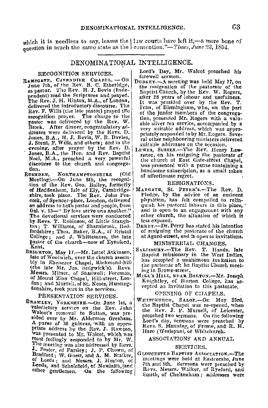which it is needless to say, leaves the | law courts have left it,-a mere bone of question in much the same state as the contention."-Times, June 23, 1854.

### DENOMINATIONAL INTELLIGENCE.

- pendent) read the Scriptures and prayed.<br>The Rev. J. H. Hinton, M.A., of London, J. Stent, F. Wills, and others; and in the suitable addresses on the occasion.<br>
Somes, B.A., the Hon. and Rev. Baptist rence, on his resigning the pastorate of
- RUSHDEN, NORTHAMPTONSHIRE (Old of alfectionate regret. Meeting).-On June 8th, the recogni-<br>
tion of the Rev. Geo. Bailey, formerly RESIGNATIONS.<br>
tion of the lev. Geo. Bailey, formbridge- MARGATE, St. PETER's.--The Rev. D. by Revs. T. Robinson, of Little Staugh- less exposed.<br>ton; T. Williams, of Sharnbrook, Bed. DERBY.-Dr. Perry has stated his intention<br>fordshire; Thos. Baker, B.A., of Bristol of resigning the pastorate of the church College; and J. Whittemore, the late at Agard-street, and is open to invitations.<br>pastor of the church-now of Eynsford, MINISTERIAL CHANGES. pastor of the church-now of Eynsford, MINISTERIAL CHANGES.<br>Kent. Hands. Jackson. SALRSURY.-The Rev. T. Hands. Jate<br>BRIGHTON, May 17.--Mr. Israel Atkinson, Bantist, missionary in the Word India.
- by in Ebenezer Chapel, Richmond-hill inc.<br>Messrs. Milner, of Shadwell: Foreman, MrLL's HILL, NEAR BOLTON.—Mr. Joseph of Mount 'Zica Chapel, Hill-street, Lon- MILL's HILL, NEAR BOLTON.—MI. Joseph don; and Murrell, of St. Neots, Hunting- Knightley, of Horton College, has ac-<br>donslite, took part in the services. donslite, took part in the s

primate address by the Rev. J. Rawson, Hare (Wesleyan), of Whitchurch.<br>was presented to Mr. Walcot, which was lassociations and ANNUAL<br>most feelingly responded to by Mr. W. ASSOCIATIONS AND ANNUAL The meeting was also addressed by Itevs.  $\vert$  SERVICES. **J.** Foster, of Farsley; J. P. Chown, of GLOUCESTER BAPTIST ASSOCIATION.-The

Lord's Day, Mr. Walcot preached his<br>farewell sermon. RECOGNITION SERVICES.<br>RAMSGATE, CAVENDISH CHAPEL. - On farewell sermon.<br>Duplex. - A meeting was held May 17, on

- The 7th, of the Rev. B. C. Etheridge, DUDLEY. A meeting was neid hay 17, on<br>as pastor. The Rev. H. J. Bevis (Inde-<br>pendent) read the Scriptures and prayed.<br>after 28 years of labour and usefulness. The Rev. J. H. Hinton, M.A., of London, It was presided over by the Rev. T.<br>delivered the introductory discourse. The Ivan, of Birmingham, who, on the part Rev. F. Wills (the late pastor) prayed the  $\left| \begin{array}{cc} 0 & \text{if the junior members of the paper,} \\ \text{of the junior members of the paper,} \\ \text{from presented } M \end{array} \right|$ recognition prayer. The charge to the tion, preseuted Mr. Rogers with a valu-<br>pastor was delivered by the Rev. W. able silver tea service, accompanied by a Brock. After dinner, congratulatory ad-<br>dresses were delivered by the Revs. D. priately responded to by Mr. Rogers. Seve-Brock. The diverse of the Revs. D.<br>
desses were delivered by the Revs. D.<br>
Jones, B.A., H. J. Bevis, W. B. Davies,<br>
J. Stent, F. Wills, and others; and in the<br>
suitable addresses on the occasion.
- Jones, B.A., the Hon. and Rev. Baptist rence, on his resigning the pastorate of Noel, M.A., preached a very powerful the church at East Gate-street Chapel, Noel, M.A., preached a very powerful the church at East Gate-street Chapel, the church and congrega- was presented with a purse containing a tion. tion.<br>RUGHDEN, NORTHAMPTONSHIRE (Old of affectionate regret.

- shire, took place. The Rev. John Pea- Pledge, by the advice of an eminent cock of Spencer-place. London, delivered physician, has felt compelled to relinan address to both pastor and people, from  $\begin{bmatrix} \text{qulsh} \\ \text{qulsh} \end{bmatrix}$  relined to an angular in this place, '<br>Gal. v. 13—' By love serve one another.'' and is open to an engagement with any Gal. v. 13-<sup>4</sup> By love serve one another." aud is open to an engagement with any The devotional services were conducted other church, the situation of which is
	- of resigning the pastorate of the church<br>at Agard-street, and is open to invitations.

- $\frac{B1GHTON}{B1G}$ , May 17. $\frac{MT}{B1G}$ . Israel Atkinson,  $\frac{B1GDT}{B1G}$  missionary in the West Indies, late of Woolwich, over the culturen assem-<br>late of a uuanimous invitation to the late Mr. Jos. Sedgwick's). Revs.<br>the instance of the late Mr. Jos. Sedgwick's). Revs.<br>ing in Brown-street.
	-

PRESENTATION SERVICES. WHITCHURCH, SALOP.-- On May 23rd. BRAMLEY, YORKSHIRE.-On June 1st, a write Applied by Salor.--- On May 23rd, Balance on the Rev. John and the Baptist Chapel was re-opened, when valemetory service on the Rev. John the Rev. J. P. Mursell, of Leicester,<br>Walcot's removal to Sutton, was prepreached two sermons. On the following sided over by Mr. Alderman Gresham. Preached two sermons were preached by A purse of 30 guineas, with an appro-<br> **Priate address** by the Rev. J. Rawson, Hars S. Manning, of Prome, and R. H.

Bradford; W. Guest, and A. M. Stalker, GLOUGESTER BAPTIST ASSOCIATION.--The of Leeds . and Messrs J. Heaton of meetings were held at Eastcombe, June of Leeds; and Messrs. J. Heaton, of meetings were held at Eastcombe, June<br>Leeds, and Scholefield, of Newlaith, and 7th and 8th. Sermons were preached by Leeds, and Scholefield, of Newlaid, January Revs. Messrs. Walker, of Ryeford, and other gentlemen. On the following Smith, of Cheltenham ; addresses were